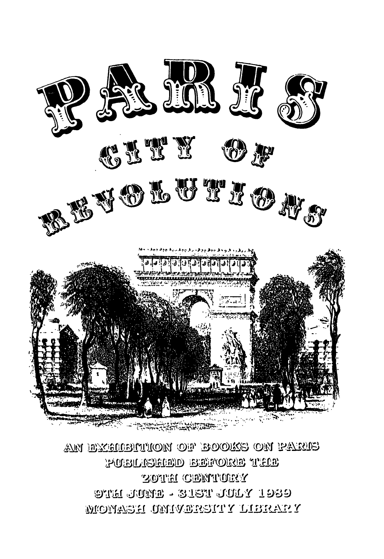

AN EXCHIBITION OF BOOKS ON PARIS PUBU (SERD) BREVORE TELE **ZOTH CENTURY 9461 JUNE - 315T JULY 1939** MONASH UMIVERSITY LIBRARY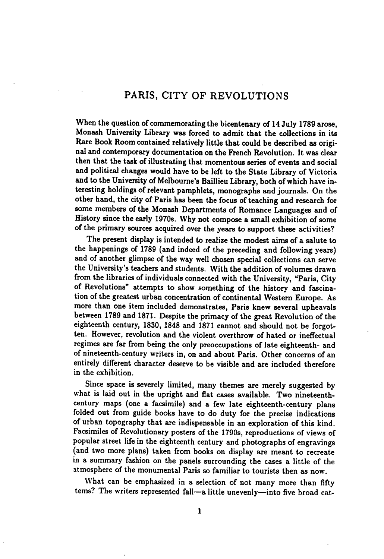## PARIS, CITY OF REVOLUTIONS

When the question of commemorating the bicentenary of 14 July 1789 arose, Monash University Library was forced to admit that the collections in its Rare Book Room contained relatively little that could be described as origi nal and contemporary documentation on the French Revolution. It was clear then that the task of illustrating that momentous series of events and social and political changes would have to be left to the State Library of Victoria and to the University of Melbourne's Baillieu Library, both of which have in teresting holdings of relevant pamphlets, monographs and journals. On the other hand, the city of Paris has been the focus of teaching and research for some members of the Monash Departments of Romance Languages and of History since the early 1970s. Why not compose a small exhibition of some of the primary sources acquired over the years to support these activities?

The present display is intended to realize the modest aims of a salute to the happenings of 1789 (and indeed of the preceding and following years) and of another glimpse of the way well chosen special collections can serve the University's teachers and students. With the addition of volumes drawn from the libraries of individuals connected with the University, "Paris, City of Revolutions" attempts to show something of the history and fascina tion of the greatest urban concentration of continental Western Europe. As more than one item included demonstrates, Paris knew several upheavals between 1789 and 1871. Despite the primacy of the great Revolution of the eighteenth century, 1830, 1848 and 1871 cannot and should not be forgot ten. However, revolution and the violent overthrow of hated or ineffectual regimes are far from being the only preoccupations of late eighteenth- and of nineteenth-century writers in, on and about Paris. Other concerns of an entirely different character deserve to be visible and are included therefore in the exhibition.

Since space is severely limited, many themes are merely suggested by what is laid out in the upright and flat cases available. Two nineteenthcentury maps (one a facsimile) and a few late eighteenth-century plans folded out from guide books have to do duty for the precise indications of urban topography that are indispensable in an exploration of this kind. Facsimiles of Revolutionary posters of the 1790s, reproductions of views of popular street life in the eighteenth century and photographs of engravings (and two more plans) taken from books on display are meant to recreate in a summary fashion on the panels surrounding the cases a little of the atmosphere of the monumental Paris so familiar to tourists then as now.

What can be emphasized in a selection of not many more than fifty terns? The writers represented fall—a little unevenly—into five broad cat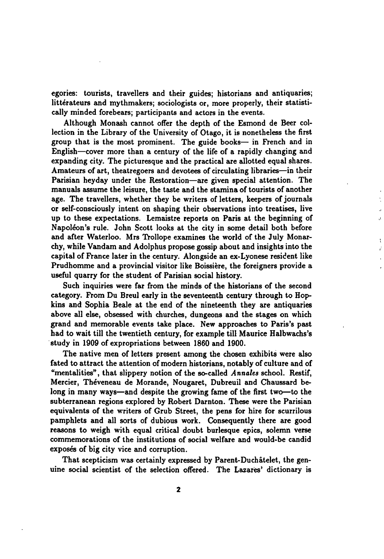egories: tourists, travellers and their guides; historians and antiquaries; littérateurs and mythmakers; sociologists or, more properly, their statistically minded forebears; participants and actors in the events.

Although Monash cannot offer the depth of the Esmond de Beer col lection in the Library of the University of Otago, it is nonetheless the first group that is the most prominent. The guide books— in French and in English—cover more than a century of the life of a rapidly changing and expanding city. The picturesque and the practical are allotted equal shares. Amateurs of art, theatregoers and devotees of circulating libraries—in their Parisian heyday under the Restoration—are given special attention. The manuals assume the leisure, the taste and the stamina of tourists of another age. The travellers, whether they be writers of letters, keepers of journals or self-consciously intent on shaping their observations into treatises, live up to these expectations. Lemaistre reports on Paris at the beginning of Napoleon's rule. John Scott looks at the city in some detail both before and after Waterloo. Mrs Trollope examines the world of the July Monar chy, while Vandam and Adolphus propose gossip about and insights into the capital of France later in the century. Alongside an ex-Lyonese resident like Prudhomme and a provincial visitor like Boissière, the foreigners provide a useful quarry for the student of Parisian social history.

 $\mathbf{v}$ 

Such inquiries were far from the minds of the historians of the second category. From Du Breul early in the seventeenth century through to Hop kins and Sophia Beale at the end of the nineteenth they are antiquaries above all else, obsessed with churches, dungeons and the stages on which grand and memorable events take place. New approaches to Paris's past had to wait till the twentieth century, for example till Maurice Halbwachs's study in 1909 of expropriations between 1860 and 1900.

The native men of letters present among the chosen exhibits were also fated to attract the attention of modern historians, notably of culture and of "mentalities", that slippery notion of the so-called Annales school. Restif, Mercier, Theveneau de Morande, Nougaret, Dubreuil and Chaussard be long in many ways—and despite the growing fame of the first two—to the subterranean regions explored by Robert Darnton. These were the Parisian equivalents of the writers of Grub Street, the pens for hire for scurrilous pamphlets and all sorts of dubious work. Consequently there are good reasons to weigh with equal critical doubt burlesque epics, solemn verse commemorations of the institutions of social welfare and would-be candid exposés of big city vice and corruption.

That scepticism was certainly expressed by Parent-Duchatelet, the gen uine social scientist of the selection offered. The Lazares' dictionary is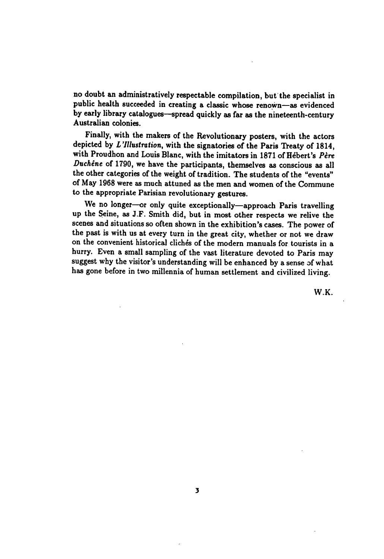no doubt an administratively respectable compilation, but the specialist in public health succeeded in creating a classic whose renown—as evidenced by early library catalogues—spread quickly as far as the nineteenth-century Australian colonies.

Finally, with the makers of the Revolutionary posters, with the actors depicted by L'Illustration, with the signatories of the Paris Treaty of 1814, with Proudhon and Louis Blanc, with the imitators in 1871 of Hébert's Père Duchêne of 1790, we have the participants, themselves as conscious as all the other categories of the weight of tradition. The students of the "events" of May 1968 were as much attuned as the men and women of the Commune to the appropriate Parisian revolutionary gestures.

We no longer—or only quite exceptionally—approach Paris travelling up the Seine, as J.F. Smith did, but in most other respects we relive the scenes and situations so often shown in the exhibition's cases. The power of the past is with us at every turn in the great city, whether or not we draw on the convenient historical clichés of the modern manuals for tourists in a hurry. Even a small sampling of the vast literature devoted to Paris may suggest why the visitor's understanding will be enhanced by a sense of what has gone before in two millennia of human settlement and civilized living.

W.K.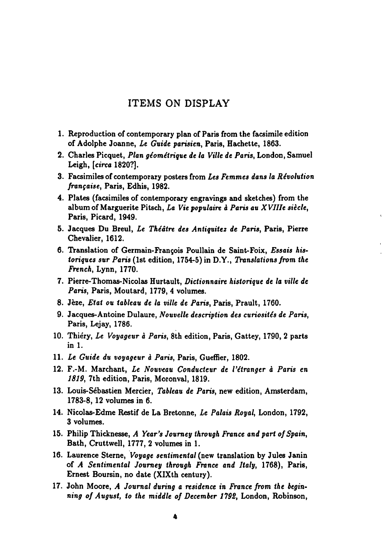## ITEMS ON DISPLAY

- 1. Reproduction of contemporary plan of Paris from the facsimile edition of Adolphe Joanne, Le Guide parisien, Paris, Hachette, 1863.
- 2. Charles Picquet, Plan géométrique de la Ville de Paris, London, Samuel Leigh, [circa 1820?].
- 3. Facsimiles of contemporary posters from Les Femmes dans la Révolution française, Paris, Edhis, 1982.
- 4. Plates (facsimiles of contemporary engravings and sketches) from the album of Marguerite Pitsch, La Vie populaire à Paris au XVIIIe siècle, Paris, Picard, 1949.
- 5. Jacques Du Breul, Le Théâtre des Antiquitez de Paris, Paris, Pierre Chevalier, 1612.
- 6. Translation of Germain-Francois Poullain de Saint-Foix, Essais historiques sur Paris (1st edition, 1754-5) in D.Y., Translations from the French, Lynn, 1770.
- 7. Pierre-Thomas-Nicolas Hurtault, Dictionnaire historique de la ville de Paris, Paris, Moutard, 1779, 4 volumes.
- 8. Jèze, Etat ou tableau de la ville de Paris, Paris, Prault, 1760.
- 9. Jacques-Antoine Dulaure, Nouvelle description des curiosités de Paris, Paris, Lejay, 1786.
- 10. Thiéry, Le Voyageur à Paris, 8th edition, Paris, Gattey, 1790, 2 parts in 1.
- 11. Le Guide du voyageur à Paris, Paris, Gueffier, 1802.
- 12. F.-M. Marchant, Le Nouveau Conducteur de l'étranger à Paris en 1819, 7th edition, Paris, Moronval, 1819.
- 13. Louis-Sébastien Mercier, Tableau de Paris, new edition, Amsterdam, 1783-8, 12 volumes in 6.
- 14. Nicolas-Edme Restif de La Bretonne, Le Palais Royal, London, 1792, volumes.
- 15. Philip Thicknesse, A Year's Journey through France and part of Spain, Bath, Cruttwell, 1777, 2 volumes in 1.
- 16. Laurence Sterne, Voyage sentimental (new translation by Jules Janin of A Sentimental Journey through France and Italy, 1768), Paris, Ernest Boursin, no date (XlXth century).
- 17. John Moore, A Journal during a residence in France from the beginning of August, to the middle of December 1792, London, Robinson,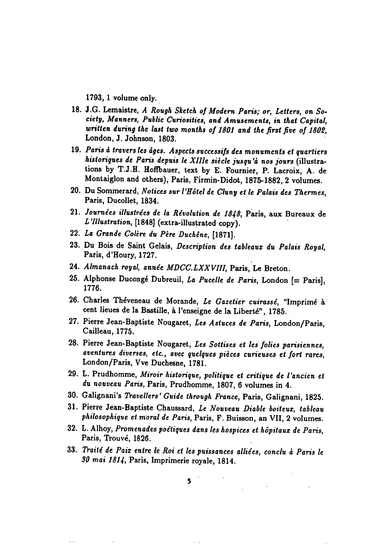1793, 1 volume only.

- 18. J.G. Lemaistre, A Rough Sketch of Modern Paris; or, Letters, on Society, Manners, Public Curiosities, and Amusements, in that Capital, written during the last two months of 1801 and the first five of 1802, London, J. Johnson, 1803.
- 19. Paris à travers les âges. Aspects successifs des monuments et quartiers historiques de Paris depuis le XIHe siecle jusqu'a nos jours (illustra tions by T.J.H. Hoffbauer, text by E. Fournier, P. Lacroix, A. de Montaiglon and others), Paris, Firmin-Didot, 1875-1882, 2 volumes.
- 20. Du Sommerard, Notices sur l'Hôtel de Cluny et le Palais des Thermes, Paris, Ducollet, 1834.
- 21. Journées illustrées de la Révolution de 1848, Paris, aux Bureaux de 'Illustration, [1848] (extra-illustrated copy).
- 22. La Grande Colère du Père Duchéne, [1871].
- 23. Du Bois de Saint Gelais, Description des tableaux du Palais Royal, Paris, d'Houry, 1727.
- 24. Almanach royal, année MDCC.LXXVIII, Paris, Le Breton.
- 25. Alphonse Ducongé Dubreuil, La Pucelle de Paris, London  $[=$  Paris], 1776.
- 26. Charles Théveneau de Morande, Le Gazetier cuirassé, "Imprimé à cent lieues de la Bastille, à l'enseigne de la Liberté", 1785.
- 27. Pierre Jean-Baptiste Nougaret, Les Astuces de Paris, London/Paris, Cailleau, 1775.
- 28. Pierre Jean-Baptiste Nougaret, Les Sotlises et les folies parisiennes, aventures diverses, etc., avec quelques pieces curieuses ei fort rares, London/Paris, Vve Duchesne, 1781.
- 29. L. Prudhomme, Miroir historique, politique et critique de I'ancien et du nouveau Paris, Paris, Prudhomme, 1807, 6 volumes in 4.
- 30. Galignani's Travellers' Guide through France, Paris, Galignani, 1825.
- 31. Pierre Jean-Baptiste Chaussard, Le Nouveau Diable boiteux, tableau philosophique et moral de Paris, Paris, F. Buisson, an VII, 2 volumes.
- 32. L. Alhoy, Promenades poetiques dans les hospices et hopitaux de Paris, Paris, Trouvé, 1826.
- 33. Traité de Paix entre le Roi et les puissances alliées, conclu à Paris le SO mai 1814, Paris, Imprimerie royale, 1814.

 $\sim$   $\sim$ 

 $\ddot{\phantom{0}}$